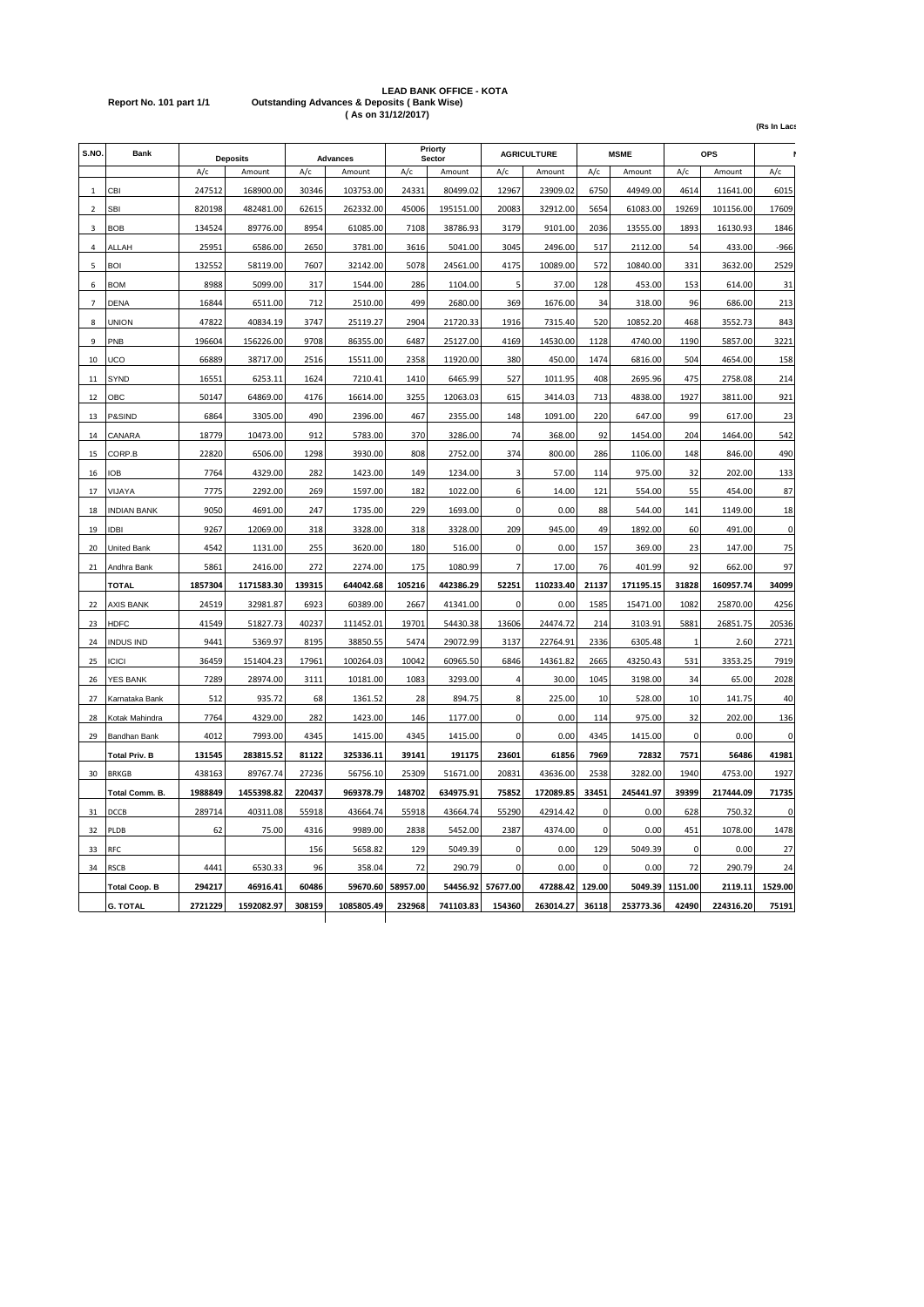# **LEAD BANK OFFICE - KOTA Report No. 101 part 1/1 Outstanding Advances & Deposits ( Bank Wise) ( As on 31/12/2017)**

**(Rs In Lacs)**

| S.NO.                    | <b>Bank</b>          | <b>Deposits</b> |            | <b>Advances</b> |            | Priorty<br>Sector |           | <b>AGRICULTURE</b> |           | <b>MSME</b> |           | <b>OPS</b>      |           |             |
|--------------------------|----------------------|-----------------|------------|-----------------|------------|-------------------|-----------|--------------------|-----------|-------------|-----------|-----------------|-----------|-------------|
|                          |                      | A/c             | Amount     | A/c             | Amount     | A/c               | Amount    | A/c                | Amount    | A/c         | Amount    | A/c             | Amount    | A/c         |
| $\mathbf{1}$             | CBI                  | 247512          | 168900.00  | 30346           | 103753.00  | 24331             | 80499.02  | 12967              | 23909.02  | 6750        | 44949.00  | 4614            | 11641.00  | 6015        |
| $\overline{\phantom{a}}$ | <b>SBI</b>           | 820198          | 482481.00  | 62615           | 262332.00  | 45006             | 195151.00 | 20083              | 32912.00  | 5654        | 61083.00  | 19269           | 101156.00 | 17609       |
| $\overline{3}$           | <b>BOB</b>           | 134524          | 89776.00   | 8954            | 61085.00   | 7108              | 38786.93  | 3179               | 9101.00   | 2036        | 13555.00  | 1893            | 16130.93  | 1846        |
| $\overline{4}$           | ALLAH                | 25951           | 6586.00    | 2650            | 3781.00    | 3616              | 5041.00   | 3045               | 2496.00   | 517         | 2112.00   | 54              | 433.00    | -966        |
| 5                        | <b>BOI</b>           | 132552          | 58119.00   | 7607            | 32142.00   | 5078              | 24561.00  | 4175               | 10089.00  | 572         | 10840.00  | 331             | 3632.00   | 2529        |
| 6                        | <b>BOM</b>           | 8988            | 5099.00    | 317             | 1544.00    | 286               | 1104.00   | 5                  | 37.00     | 128         | 453.00    | 153             | 614.00    | 31          |
| $\overline{7}$           | <b>DENA</b>          | 16844           | 6511.00    | 712             | 2510.00    | 499               | 2680.00   | 369                | 1676.00   | 34          | 318.00    | 96              | 686.00    | 213         |
| 8                        | UNION                | 47822           | 40834.19   | 3747            | 25119.27   | 2904              | 21720.33  | 1916               | 7315.40   | 520         | 10852.20  | 468             | 3552.73   | 843         |
| 9                        | PNB                  | 196604          | 156226.00  | 9708            | 86355.00   | 6487              | 25127.00  | 4169               | 14530.00  | 1128        | 4740.00   | 1190            | 5857.00   | 3221        |
| 10                       | UCO                  | 66889           | 38717.00   | 2516            | 15511.00   | 2358              | 11920.00  | 380                | 450.00    | 1474        | 6816.00   | 504             | 4654.00   | 158         |
| 11                       | SYND                 | 16551           | 6253.11    | 1624            | 7210.41    | 1410              | 6465.99   | 527                | 1011.95   | 408         | 2695.96   | 475             | 2758.08   | 214         |
| 12                       | OBC                  | 50147           | 64869.00   | 4176            | 16614.00   | 3255              | 12063.03  | 615                | 3414.03   | 713         | 4838.00   | 1927            | 3811.00   | 921         |
| 13                       | P&SIND               | 6864            | 3305.00    | 490             | 2396.00    | 467               | 2355.00   | 148                | 1091.00   | 220         | 647.00    | 99              | 617.00    | 23          |
| 14                       | CANARA               | 18779           | 10473.00   | 912             | 5783.00    | 370               | 3286.00   | 74                 | 368.00    | 92          | 1454.00   | 204             | 1464.00   | 542         |
| 15                       | CORP.B               | 22820           | 6506.00    | 1298            | 3930.00    | 808               | 2752.00   | 374                | 800.00    | 286         | 1106.00   | 148             | 846.00    | 490         |
| 16                       | <b>IOB</b>           | 7764            | 4329.00    | 282             | 1423.00    | 149               | 1234.00   | 3                  | 57.00     | 114         | 975.00    | 32              | 202.00    | 133         |
| 17                       | VIJAYA               | 7775            | 2292.00    | 269             | 1597.00    | 182               | 1022.00   | 6                  | 14.00     | 121         | 554.00    | 55              | 454.00    | 87          |
| 18                       | <b>INDIAN BANK</b>   | 9050            | 4691.00    | 247             | 1735.00    | 229               | 1693.00   | $\Omega$           | 0.00      | 88          | 544.00    | 141             | 1149.00   | 18          |
| 19                       | <b>IDBI</b>          | 9267            | 12069.00   | 318             | 3328.00    | 318               | 3328.00   | 209                | 945.00    | 49          | 1892.00   | 60              | 491.00    | 0           |
| 20                       | United Bank          | 4542            | 1131.00    | 255             | 3620.00    | 180               | 516.00    | 0                  | 0.00      | 157         | 369.00    | 23              | 147.00    | 75          |
| 21                       | Andhra Bank          | 5861            | 2416.00    | 272             | 2274.00    | 175               | 1080.99   | 7                  | 17.00     | 76          | 401.99    | 92              | 662.00    | 97          |
|                          | <b>TOTAL</b>         | 1857304         | 1171583.30 | 139315          | 644042.68  | 105216            | 442386.29 | 52251              | 110233.40 | 21137       | 171195.15 | 31828           | 160957.74 | 34099       |
| 22                       | AXIS BANK            | 24519           | 32981.87   | 6923            | 60389.00   | 2667              | 41341.00  | $\Omega$           | 0.00      | 1585        | 15471.00  | 1082            | 25870.00  | 4256        |
| 23                       | <b>HDFC</b>          | 41549           | 51827.73   | 40237           | 111452.01  | 19701             | 54430.38  | 13606              | 24474.72  | 214         | 3103.91   | 5881            | 26851.75  | 20536       |
| 24                       | <b>INDUS IND</b>     | 9441            | 5369.97    | 8195            | 38850.55   | 5474              | 29072.99  | 3137               | 22764.91  | 2336        | 6305.48   |                 | 2.60      | 2721        |
| 25                       | <b>ICICI</b>         | 36459           | 151404.23  | 17961           | 100264.03  | 10042             | 60965.50  | 6846               | 14361.82  | 2665        | 43250.43  | 531             | 3353.25   | 7919        |
| 26                       | YES BANK             | 7289            | 28974.00   | 3111            | 10181.00   | 1083              | 3293.00   | 4                  | 30.00     | 1045        | 3198.00   | 34              | 65.00     | 2028        |
| 27                       | Karnataka Bank       | 512             | 935.72     | 68              | 1361.52    | 28                | 894.75    | 8                  | 225.00    | 10          | 528.00    | 10              | 141.75    | 40          |
| 28                       | Kotak Mahindra       | 7764            | 4329.00    | 282             | 1423.00    | 146               | 1177.00   | 0                  | 0.00      | 114         | 975.00    | 32              | 202.00    | 136         |
| 29                       | Bandhan Bank         | 4012            | 7993.00    | 4345            | 1415.00    | 4345              | 1415.00   | 0                  | 0.00      | 4345        | 1415.00   | $\mathbf 0$     | 0.00      | 0           |
|                          | <b>Total Priv. B</b> | 131545          | 283815.52  | 81122           | 325336.11  | 39141             | 191175    | 23601              | 61856     | 7969        | 72832     | 7571            | 56486     | 41981       |
| 30                       | <b>BRKGB</b>         | 438163          | 89767.74   | 27236           | 56756.10   | 25309             | 51671.00  | 20831              | 43636.00  | 2538        | 3282.00   | 1940            | 4753.00   | 1927        |
|                          | Total Comm. B.       | 1988849         | 1455398.82 | 220437          | 969378.79  | 148702            | 634975.91 | 75852              | 172089.85 | 33451       | 245441.97 | 39399           | 217444.09 | 71735       |
| 31                       | DCCB                 | 289714          | 40311.08   | 55918           | 43664.74   | 55918             | 43664.74  | 55290              | 42914.42  | 0           | 0.00      | 628             | 750.32    | $\mathbf 0$ |
| 32                       | PLDB                 | 62              | 75.00      | 4316            | 9989.00    | 2838              | 5452.00   | 2387               | 4374.00   | $\pmb{0}$   | 0.00      | 451             | 1078.00   | 1478        |
| 33                       | RFC                  |                 |            | 156             | 5658.82    | 129               | 5049.39   | 0                  | 0.00      | 129         | 5049.39   | $\Omega$        | 0.00      | 27          |
| 34                       | <b>RSCB</b>          | 4441            | 6530.33    | 96              | 358.04     | 72                | 290.79    | 0                  | 0.00      | $\Omega$    | 0.00      | 72              | 290.79    | 24          |
|                          | <b>Total Coop. B</b> | 294217          | 46916.41   | 60486           | 59670.60   | 58957.00          | 54456.92  | 57677.00           | 47288.42  | 129.00      |           | 5049.39 1151.00 | 2119.11   | 1529.00     |
|                          | <b>G. TOTAL</b>      | 2721229         | 1592082.97 | 308159          | 1085805.49 | 232968            | 741103.83 | 154360             | 263014.27 | 36118       | 253773.36 | 42490           | 224316.20 | 75191       |
|                          |                      |                 |            |                 |            |                   |           |                    |           |             |           |                 |           |             |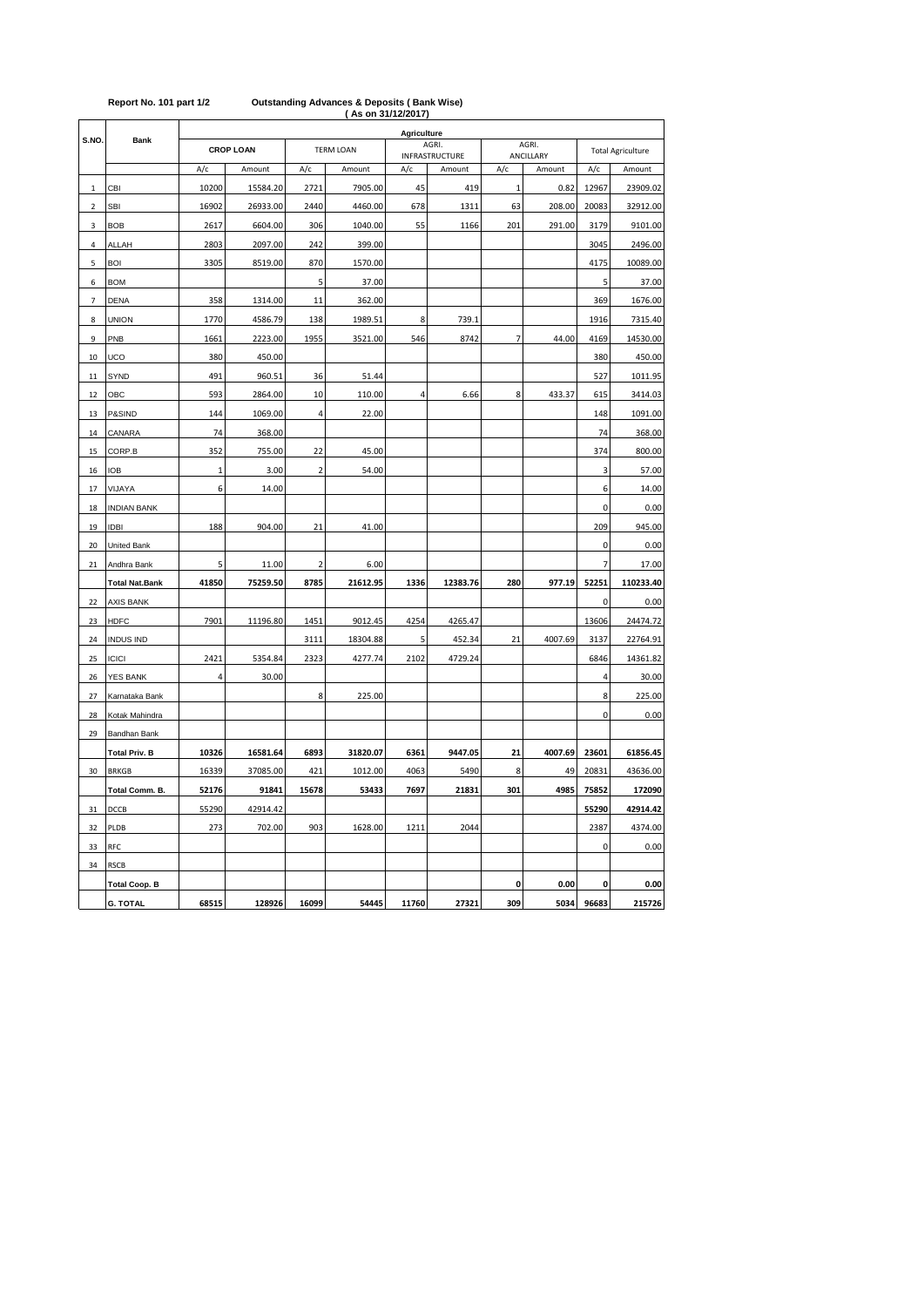|                          |                       |              | ASON 31/12/2017)<br><b>Agriculture</b> |                         |                  |       |                          |                |                     |                          |           |  |  |  |
|--------------------------|-----------------------|--------------|----------------------------------------|-------------------------|------------------|-------|--------------------------|----------------|---------------------|--------------------------|-----------|--|--|--|
| S.NO.                    | <b>Bank</b>           |              | <b>CROP LOAN</b>                       |                         | <b>TERM LOAN</b> |       | AGRI.                    |                | AGRI.               | <b>Total Agriculture</b> |           |  |  |  |
|                          |                       | A/c          | Amount                                 | A/c                     | Amount           | A/c   | INFRASTRUCTURE<br>Amount | A/c            | ANCILLARY<br>Amount | A/c                      | Amount    |  |  |  |
| $\mathbf{1}$             | CBI                   | 10200        | 15584.20                               | 2721                    | 7905.00          | 45    | 419                      | $\overline{1}$ | 0.82                | 12967                    | 23909.02  |  |  |  |
| $\overline{2}$           | <b>SBI</b>            | 16902        | 26933.00                               | 2440                    | 4460.00          | 678   | 1311                     | 63             | 208.00              | 20083                    | 32912.00  |  |  |  |
| 3                        | <b>BOB</b>            | 2617         | 6604.00                                | 306                     | 1040.00          | 55    | 1166                     | 201            | 291.00              | 3179                     | 9101.00   |  |  |  |
| 4                        | ALLAH                 | 2803         | 2097.00                                | 242                     | 399.00           |       |                          |                |                     | 3045                     | 2496.00   |  |  |  |
| 5                        | <b>BOI</b>            | 3305         | 8519.00                                | 870                     | 1570.00          |       |                          |                |                     | 4175                     | 10089.00  |  |  |  |
| 6                        | <b>BOM</b>            |              |                                        | 5                       | 37.00            |       |                          |                |                     | 5                        | 37.00     |  |  |  |
| $\overline{\phantom{a}}$ | <b>DENA</b>           | 358          | 1314.00                                | 11                      | 362.00           |       |                          |                |                     | 369                      | 1676.00   |  |  |  |
| 8                        | <b>UNION</b>          | 1770         | 4586.79                                | 138                     | 1989.51          | 8     | 739.1                    |                |                     | 1916                     | 7315.40   |  |  |  |
| 9                        | PNB                   | 1661         | 2223.00                                | 1955                    | 3521.00          | 546   | 8742                     | $\overline{7}$ | 44.00               | 4169                     | 14530.00  |  |  |  |
| 10                       | UCO                   | 380          | 450.00                                 |                         |                  |       |                          |                |                     | 380                      | 450.00    |  |  |  |
| 11                       | SYND                  | 491          | 960.51                                 | 36                      | 51.44            |       |                          |                |                     | 527                      | 1011.95   |  |  |  |
| 12                       | OBC                   | 593          | 2864.00                                | 10                      | 110.00           | 4     | 6.66                     | 8              | 433.37              | 615                      | 3414.03   |  |  |  |
| 13                       | P&SIND                | 144          | 1069.00                                | 4                       | 22.00            |       |                          |                |                     | 148                      | 1091.00   |  |  |  |
| 14                       | CANARA                | 74           | 368.00                                 |                         |                  |       |                          |                |                     | 74                       | 368.00    |  |  |  |
| 15                       | CORP.B                | 352          | 755.00                                 | 22                      | 45.00            |       |                          |                |                     | 374                      | 800.00    |  |  |  |
| 16                       | <b>IOB</b>            | $\mathbf{1}$ | 3.00                                   | $\overline{\mathbf{c}}$ | 54.00            |       |                          |                |                     | 3                        | 57.00     |  |  |  |
| 17                       | VIJAYA                | 6            | 14.00                                  |                         |                  |       |                          |                |                     | 6                        | 14.00     |  |  |  |
| 18                       | <b>INDIAN BANK</b>    |              |                                        |                         |                  |       |                          |                |                     | $\pmb{0}$                | 0.00      |  |  |  |
| 19                       | <b>IDBI</b>           | 188          | 904.00                                 | 21                      | 41.00            |       |                          |                |                     | 209                      | 945.00    |  |  |  |
| 20                       | United Bank           |              |                                        |                         |                  |       |                          |                |                     | 0                        | 0.00      |  |  |  |
| 21                       | Andhra Bank           | 5            | 11.00                                  | $\overline{\mathbf{c}}$ | 6.00             |       |                          |                |                     | $\overline{7}$           | 17.00     |  |  |  |
|                          | <b>Total Nat.Bank</b> | 41850        | 75259.50                               | 8785                    | 21612.95         | 1336  | 12383.76                 | 280            | 977.19              | 52251                    | 110233.40 |  |  |  |
| 22                       | <b>AXIS BANK</b>      |              |                                        |                         |                  |       |                          |                |                     | 0                        | 0.00      |  |  |  |
| 23                       | <b>HDFC</b>           | 7901         | 11196.80                               | 1451                    | 9012.45          | 4254  | 4265.47                  |                |                     | 13606                    | 24474.72  |  |  |  |
| 24                       | <b>INDUS IND</b>      |              |                                        | 3111                    | 18304.88         | 5     | 452.34                   | 21             | 4007.69             | 3137                     | 22764.91  |  |  |  |
| 25                       | <b>ICICI</b>          | 2421         | 5354.84                                | 2323                    | 4277.74          | 2102  | 4729.24                  |                |                     | 6846                     | 14361.82  |  |  |  |
| 26                       | <b>YES BANK</b>       | 4            | 30.00                                  |                         |                  |       |                          |                |                     | $\overline{4}$           | 30.00     |  |  |  |
| 27                       | Karnataka Bank        |              |                                        | 8                       | 225.00           |       |                          |                |                     | 8                        | 225.00    |  |  |  |
| 28                       | Kotak Mahindra        |              |                                        |                         |                  |       |                          |                |                     | $\pmb{0}$                | 0.00      |  |  |  |
| 29                       | Bandhan Bank          |              |                                        |                         |                  |       |                          |                |                     |                          |           |  |  |  |
|                          | <b>Total Priv. B</b>  | 10326        | 16581.64                               | 6893                    | 31820.07         | 6361  | 9447.05                  | 21             | 4007.69             | 23601                    | 61856.45  |  |  |  |
| 30                       | <b>BRKGB</b>          | 16339        | 37085.00                               | 421                     | 1012.00          | 4063  | 5490                     | 8              | 49                  | 20831                    | 43636.00  |  |  |  |
|                          | Total Comm. B.        | 52176        | 91841                                  | 15678                   | 53433            | 7697  | 21831                    | 301            | 4985                | 75852                    | 172090    |  |  |  |
| 31                       | DCCB                  | 55290        | 42914.42                               |                         |                  |       |                          |                |                     | 55290                    | 42914.42  |  |  |  |
| 32                       | PLDB                  | 273          | 702.00                                 | 903                     | 1628.00          | 1211  | 2044                     |                |                     | 2387                     | 4374.00   |  |  |  |
| 33                       | <b>RFC</b>            |              |                                        |                         |                  |       |                          |                |                     | 0                        | 0.00      |  |  |  |
| 34                       | <b>RSCB</b>           |              |                                        |                         |                  |       |                          |                |                     |                          |           |  |  |  |
|                          | <b>Total Coop. B</b>  |              |                                        |                         |                  |       |                          | 0              | 0.00                | 0                        | 0.00      |  |  |  |
|                          | <b>G. TOTAL</b>       | 68515        | 128926                                 | 16099                   | 54445            | 11760 | 27321                    | 309            | 5034                | 96683                    | 215726    |  |  |  |

#### **( As on 31/12/2017) Report No. 101 part 1/2 Outstanding Advances & Deposits ( Bank Wise)**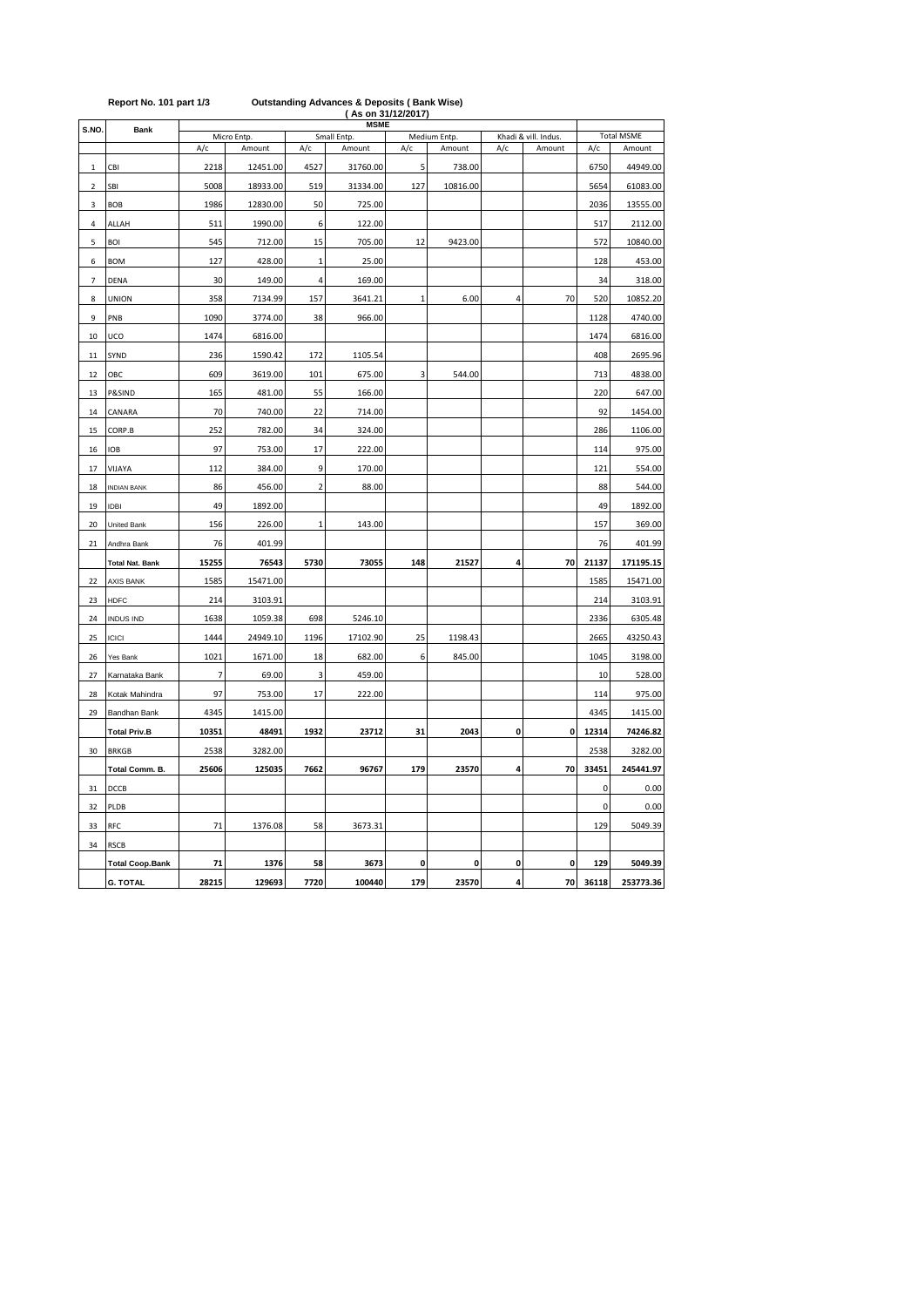| S.NO                     | Bank                   |       | Micro Entp. |                | <b>MSME</b><br>Small Entp. |     | Medium Entp. | Khadi & vill. Indus     | <b>Total MSME</b> |           |           |
|--------------------------|------------------------|-------|-------------|----------------|----------------------------|-----|--------------|-------------------------|-------------------|-----------|-----------|
|                          |                        | A/c   | Amount      | A/c            | Amount                     | A/c | Amount       | A/c                     | Amount            | A/c       | Amount    |
| $\mathbf{1}$             | CBI                    | 2218  | 12451.00    | 4527           | 31760.00                   | 5   | 738.00       |                         |                   | 6750      | 44949.00  |
| $\overline{2}$           | SBI                    | 5008  | 18933.00    | 519            | 31334.00                   | 127 | 10816.00     |                         |                   | 5654      | 61083.00  |
| 3                        | <b>BOB</b>             | 1986  | 12830.00    | 50             | 725.00                     |     |              |                         |                   | 2036      | 13555.00  |
| 4                        | ALLAH                  | 511   | 1990.00     | 6              | 122.00                     |     |              |                         |                   | 517       | 2112.00   |
| 5                        | <b>BOI</b>             | 545   | 712.00      | 15             | 705.00                     | 12  | 9423.00      |                         |                   | 572       | 10840.00  |
| 6                        | <b>BOM</b>             | 127   | 428.00      | $\mathbf 1$    | 25.00                      |     |              |                         |                   | 128       | 453.00    |
| $\overline{\phantom{a}}$ | DENA                   | 30    | 149.00      | 4              | 169.00                     |     |              |                         |                   | 34        | 318.00    |
| 8                        | <b>UNION</b>           | 358   | 7134.99     | 157            | 3641.21                    | 1   | 6.00         | $\overline{\mathbf{4}}$ | 70                | 520       | 10852.20  |
| 9                        | PNB                    | 1090  | 3774.00     | 38             | 966.00                     |     |              |                         |                   | 1128      | 4740.00   |
| 10                       | UCO                    | 1474  | 6816.00     |                |                            |     |              |                         |                   | 1474      | 6816.00   |
| 11                       | SYND                   | 236   | 1590.42     | 172            | 1105.54                    |     |              |                         |                   | 408       | 2695.96   |
| 12                       | OBC                    | 609   | 3619.00     | 101            | 675.00                     | 3   | 544.00       |                         |                   | 713       | 4838.00   |
| 13                       | P&SIND                 | 165   | 481.00      | 55             | 166.00                     |     |              |                         |                   | 220       | 647.00    |
| 14                       | CANARA                 | 70    | 740.00      | 22             | 714.00                     |     |              |                         |                   | 92        | 1454.00   |
| 15                       | CORP.B                 | 252   | 782.00      | 34             | 324.00                     |     |              |                         |                   | 286       | 1106.00   |
| 16                       | <b>IOB</b>             | 97    | 753.00      | 17             | 222.00                     |     |              |                         |                   | 114       | 975.00    |
| 17                       | VIJAYA                 | 112   | 384.00      | 9              | 170.00                     |     |              |                         |                   | 121       | 554.00    |
| 18                       | <b>INDIAN BANK</b>     | 86    | 456.00      | $\overline{2}$ | 88.00                      |     |              |                         |                   | 88        | 544.00    |
| 19                       | <b>IDBI</b>            | 49    | 1892.00     |                |                            |     |              |                         |                   | 49        | 1892.00   |
| 20                       | <b>United Bank</b>     | 156   | 226.00      | $\mathbf 1$    | 143.00                     |     |              |                         |                   | 157       | 369.00    |
| 21                       | Andhra Bank            | 76    | 401.99      |                |                            |     |              |                         |                   | 76        | 401.99    |
|                          | <b>Total Nat. Bank</b> | 15255 | 76543       | 5730           | 73055                      | 148 | 21527        | 4                       | 70                | 21137     | 171195.15 |
| 22                       | <b>AXIS BANK</b>       | 1585  | 15471.00    |                |                            |     |              |                         |                   | 1585      | 15471.00  |
| 23                       | <b>HDFC</b>            | 214   | 3103.91     |                |                            |     |              |                         |                   | 214       | 3103.91   |
| 24                       | <b>INDUS IND</b>       | 1638  | 1059.38     | 698            | 5246.10                    |     |              |                         |                   | 2336      | 6305.48   |
| 25                       | <b>ICICI</b>           | 1444  | 24949.10    | 1196           | 17102.90                   | 25  | 1198.43      |                         |                   | 2665      | 43250.43  |
| 26                       | Yes Bank               | 1021  | 1671.00     | 18             | 682.00                     | 6   | 845.00       |                         |                   | 1045      | 3198.00   |
| 27                       | Karnataka Bank         | 7     | 69.00       | 3              | 459.00                     |     |              |                         |                   | 10        | 528.00    |
| 28                       | Kotak Mahindra         | 97    | 753.00      | 17             | 222.00                     |     |              |                         |                   | 114       | 975.00    |
| 29                       | Bandhan Bank           | 4345  | 1415.00     |                |                            |     |              |                         |                   | 4345      | 1415.00   |
|                          | <b>Total Priv.B</b>    | 10351 | 48491       | 1932           | 23712                      | 31  | 2043         | 0                       | 0                 | 12314     | 74246.82  |
| 30                       | <b>BRKGB</b>           | 2538  | 3282.00     |                |                            |     |              |                         |                   | 2538      | 3282.00   |
|                          | Total Comm. B.         | 25606 | 125035      | 7662           | 96767                      | 179 | 23570        | 4                       | 70                | 33451     | 245441.97 |
| 31                       | DCCB                   |       |             |                |                            |     |              |                         |                   | $\pmb{0}$ | 0.00      |
| 32                       | PLDB                   |       |             |                |                            |     |              |                         |                   | 0         | 0.00      |
| 33                       | <b>RFC</b>             | 71    | 1376.08     | 58             | 3673.31                    |     |              |                         |                   | 129       | 5049.39   |
| 34                       | <b>RSCB</b>            |       |             |                |                            |     |              |                         |                   |           |           |
|                          | <b>Total Coop.Bank</b> | 71    | 1376        | 58             | 3673                       | 0   | 0            | 0                       | 0                 | 129       | 5049.39   |
|                          | <b>G. TOTAL</b>        | 28215 | 129693      | 7720           | 100440                     | 179 | 23570        | 4                       | 70                | 36118     | 253773.36 |

### **Report No. 101 part 1/3 Outstanding Advances & Deposits ( Bank Wise) ( As on 31/12/2017)**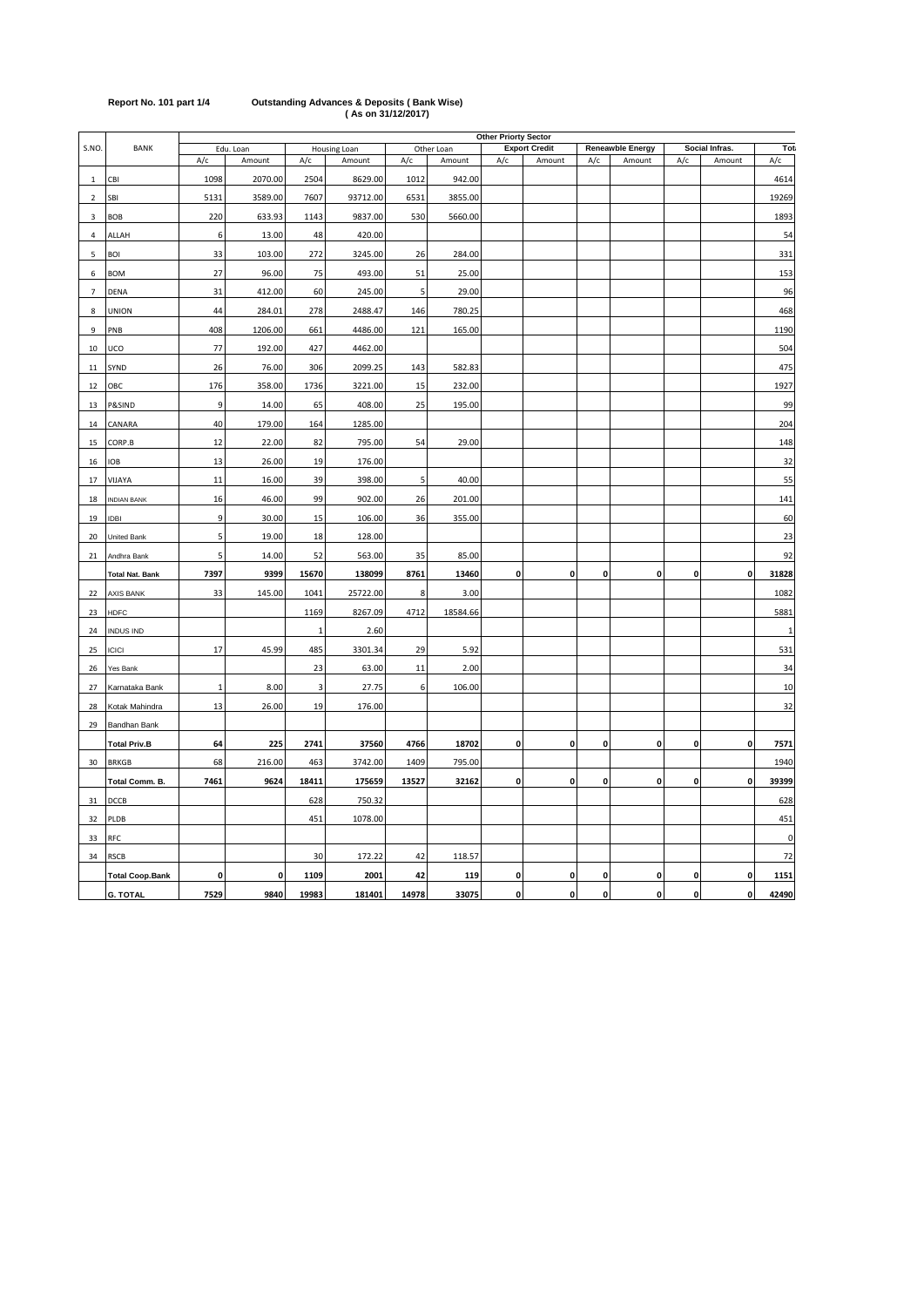| Report No. 101 part 1/4 | <b>Outstanding Advances &amp; Deposits (Bank Wise)</b> |
|-------------------------|--------------------------------------------------------|
|                         | (As on 31/12/2017)                                     |

|                          |                        |                | <b>Other Priorty Sector</b> |              |              |       |            |                    |                      |              |                         |              |                    |             |  |
|--------------------------|------------------------|----------------|-----------------------------|--------------|--------------|-------|------------|--------------------|----------------------|--------------|-------------------------|--------------|--------------------|-------------|--|
| S.NO.                    | <b>BANK</b>            |                | Edu. Loan                   |              | Housing Loan |       | Other Loan |                    | <b>Export Credit</b> |              | <b>Reneawble Energy</b> |              | Social Infras.     | Tot:        |  |
|                          |                        | A/c            | Amount                      | A/c          | Amount       | A/c   | Amount     | A/c                | Amount               | A/c          | Amount                  | A/c          | Amount             | A/c         |  |
| $\mathbf{1}$             | CBI                    | 1098           | 2070.00                     | 2504         | 8629.00      | 1012  | 942.00     |                    |                      |              |                         |              |                    | 4614        |  |
| $\overline{\phantom{0}}$ | SBI                    | 5131           | 3589.00                     | 7607         | 93712.00     | 6531  | 3855.00    |                    |                      |              |                         |              |                    | 19269       |  |
| 3                        | <b>BOB</b>             | 220            | 633.93                      | 1143         | 9837.00      | 530   | 5660.00    |                    |                      |              |                         |              |                    | 1893        |  |
| $\overline{a}$           | ALLAH                  | 6              | 13.00                       | 48           | 420.00       |       |            |                    |                      |              |                         |              |                    | 54          |  |
| 5                        | <b>BOI</b>             | 33             | 103.00                      | 272          | 3245.00      | 26    | 284.00     |                    |                      |              |                         |              |                    | 331         |  |
| 6                        | <b>BOM</b>             | 27             | 96.00                       | 75           | 493.00       | 51    | 25.00      |                    |                      |              |                         |              |                    | 153         |  |
| $\overline{7}$           | <b>DENA</b>            | 31             | 412.00                      | 60           | 245.00       | 5     | 29.00      |                    |                      |              |                         |              |                    | 96          |  |
| 8                        | <b>UNION</b>           | 44             | 284.01                      | 278          | 2488.47      | 146   | 780.25     |                    |                      |              |                         |              |                    | 468         |  |
| 9                        | PNB                    | 408            | 1206.00                     | 661          | 4486.00      | 121   | 165.00     |                    |                      |              |                         |              |                    | 1190        |  |
| 10                       | UCO                    | 77             | 192.00                      | 427          | 4462.00      |       |            |                    |                      |              |                         |              |                    | 504         |  |
| 11                       | SYND                   | 26             | 76.00                       | 306          | 2099.25      | 143   | 582.83     |                    |                      |              |                         |              |                    | 475         |  |
| 12                       | ОВС                    | 176            | 358.00                      | 1736         | 3221.00      | 15    | 232.00     |                    |                      |              |                         |              |                    | 1927        |  |
| 13                       | P&SIND                 | $\overline{9}$ | 14.00                       | 65           | 408.00       | 25    | 195.00     |                    |                      |              |                         |              |                    | 99          |  |
| 14                       | CANARA                 | 40             | 179.00                      | 164          | 1285.00      |       |            |                    |                      |              |                         |              |                    | 204         |  |
| 15                       | CORP.B                 | 12             | 22.00                       | 82           | 795.00       | 54    | 29.00      |                    |                      |              |                         |              |                    | 148         |  |
|                          |                        | 13             |                             |              |              |       |            |                    |                      |              |                         |              |                    |             |  |
| 16                       | <b>IOB</b>             |                | 26.00                       | 19           | 176.00       |       |            |                    |                      |              |                         |              |                    | 32          |  |
| 17                       | VIJAYA                 | 11             | 16.00                       | 39           | 398.00       | 5     | 40.00      |                    |                      |              |                         |              |                    | 55          |  |
| 18                       | <b>INDIAN BANK</b>     | 16             | 46.00                       | 99           | 902.00       | 26    | 201.00     |                    |                      |              |                         |              |                    | 141         |  |
| 19                       | IDBI                   | 9              | 30.00                       | 15           | 106.00       | 36    | 355.00     |                    |                      |              |                         |              |                    | 60          |  |
| 20                       | <b>United Bank</b>     | 5              | 19.00                       | 18           | 128.00       |       |            |                    |                      |              |                         |              |                    | 23          |  |
| 21                       | Andhra Bank            | 5              | 14.00                       | 52           | 563.00       | 35    | 85.00      |                    |                      |              |                         |              |                    | 92          |  |
|                          | <b>Total Nat. Bank</b> | 7397           | 9399                        | 15670        | 138099       | 8761  | 13460      | $\mathbf 0$        | $\mathbf 0$          | $\mathbf 0$  | 0                       | $\mathbf{0}$ | $\mathbf 0$        | 31828       |  |
| 22                       | <b>AXIS BANK</b>       | 33             | 145.00                      | 1041         | 25722.00     | 8     | 3.00       |                    |                      |              |                         |              |                    | 1082        |  |
| 23                       | <b>HDFC</b>            |                |                             | 1169         | 8267.09      | 4712  | 18584.66   |                    |                      |              |                         |              |                    | 5881        |  |
| 24                       | <b>INDUS IND</b>       |                |                             | $\mathbf{1}$ | 2.60         |       |            |                    |                      |              |                         |              |                    |             |  |
| 25                       | <b>ICICI</b>           | 17             | 45.99                       | 485          | 3301.34      | 29    | 5.92       |                    |                      |              |                         |              |                    | 531         |  |
| 26                       | Yes Bank               |                |                             | 23           | 63.00        | 11    | 2.00       |                    |                      |              |                         |              |                    | 34          |  |
| 27                       | Karnataka Bank         | $\mathbf 1$    | 8.00                        | 3            | 27.75        | 6     | 106.00     |                    |                      |              |                         |              |                    | 10          |  |
| 28                       | Kotak Mahindra         | 13             | 26.00                       | 19           | 176.00       |       |            |                    |                      |              |                         |              |                    | 32          |  |
| 29                       | Bandhan Bank           |                |                             |              |              |       |            |                    |                      |              |                         |              |                    |             |  |
|                          | <b>Total Priv.B</b>    | 64             | 225                         | 2741         | 37560        | 4766  | 18702      | $\pmb{\mathsf{o}}$ | 0                    | 0            | 0                       | $\mathbf{0}$ | 0                  | 7571        |  |
| 30                       | <b>BRKGB</b>           | 68             | 216.00                      | 463          | 3742.00      | 1409  | 795.00     |                    |                      |              |                         |              |                    | 1940        |  |
|                          | Total Comm. B.         | 7461           | 9624                        | 18411        | 175659       | 13527 | 32162      | $\mathbf 0$        | $\mathbf{0}$         | $\pmb{0}$    | $\mathbf 0$             | $\mathbf{0}$ | $\mathbf 0$        | 39399       |  |
| 31                       | DCCB                   |                |                             | 628          | 750.32       |       |            |                    |                      |              |                         |              |                    | 628         |  |
| 32                       | PLDB                   |                |                             | 451          | 1078.00      |       |            |                    |                      |              |                         |              |                    | 451         |  |
|                          | <b>RFC</b>             |                |                             |              |              |       |            |                    |                      |              |                         |              |                    | $\mathbf 0$ |  |
| 33                       |                        |                |                             |              |              |       |            |                    |                      |              |                         |              |                    |             |  |
| 34                       | <b>RSCB</b>            |                |                             | 30           | 172.22       | 42    | 118.57     |                    |                      |              |                         |              |                    | 72          |  |
|                          | <b>Total Coop.Bank</b> | $\mathbf 0$    | $\mathbf{0}$                | 1109         | 2001         | 42    | 119        | 0                  | 0                    | 0            | 0                       | o            | 0                  | 1151        |  |
|                          | <b>G. TOTAL</b>        | 7529           | 9840                        | 19983        | 181401       | 14978 | 33075      | $\mathbf{0}$       | $\pmb{\mathsf{o}}$   | $\mathbf{0}$ | 0                       | $\mathbf{0}$ | $\pmb{\mathsf{o}}$ | 42490       |  |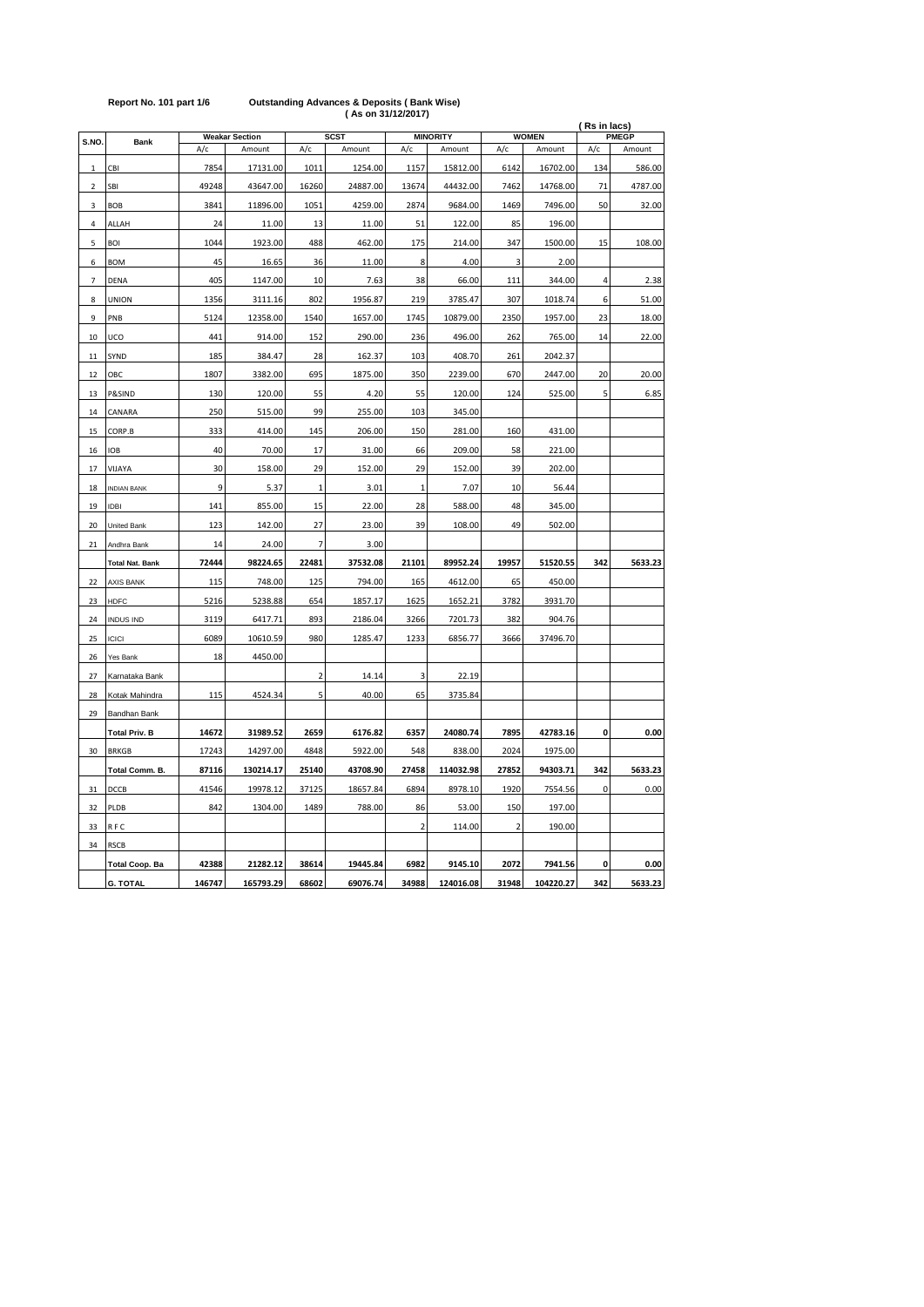|                          |                        |        | <b>MINORITY</b>                 |                |                       |                |           |                | (Rs in lacs)<br><b>WOMEN</b><br><b>PMEGP</b> |     |         |  |  |
|--------------------------|------------------------|--------|---------------------------------|----------------|-----------------------|----------------|-----------|----------------|----------------------------------------------|-----|---------|--|--|
| S.NO.                    | <b>Bank</b>            | A/c    | <b>Weakar Section</b><br>Amount | A/c            | <b>SCST</b><br>Amount | A/c            | Amount    | A/c            | Amount                                       | A/c | Amount  |  |  |
|                          |                        |        |                                 |                |                       |                |           |                |                                              |     |         |  |  |
| $\mathbf{1}$             | CBI                    | 7854   | 17131.00                        | 1011           | 1254.00               | 1157           | 15812.00  | 6142           | 16702.00                                     | 134 | 586.00  |  |  |
| $\overline{2}$           | SBI                    | 49248  | 43647.00                        | 16260          | 24887.00              | 13674          | 44432.00  | 7462           | 14768.00                                     | 71  | 4787.00 |  |  |
| 3                        | <b>BOB</b>             | 3841   | 11896.00                        | 1051           | 4259.00               | 2874           | 9684.00   | 1469           | 7496.00                                      | 50  | 32.00   |  |  |
| 4                        | ALLAH                  | 24     | 11.00                           | 13             | 11.00                 | 51             | 122.00    | 85             | 196.00                                       |     |         |  |  |
| 5                        | <b>BOI</b>             | 1044   | 1923.00                         | 488            | 462.00                | 175            | 214.00    | 347            | 1500.00                                      | 15  | 108.00  |  |  |
| 6                        | <b>BOM</b>             | 45     | 16.65                           | 36             | 11.00                 | 8              | 4.00      | 3              | 2.00                                         |     |         |  |  |
| $\overline{\phantom{a}}$ | DENA                   | 405    | 1147.00                         | 10             | 7.63                  | 38             | 66.00     | 111            | 344.00                                       | 4   | 2.38    |  |  |
| 8                        | <b>UNION</b>           | 1356   | 3111.16                         | 802            | 1956.87               | 219            | 3785.47   | 307            | 1018.74                                      | 6   | 51.00   |  |  |
| 9                        | PNB                    | 5124   | 12358.00                        | 1540           | 1657.00               | 1745           | 10879.00  | 2350           | 1957.00                                      | 23  | 18.00   |  |  |
| 10                       | UCO                    | 441    | 914.00                          | 152            | 290.00                | 236            | 496.00    | 262            | 765.00                                       | 14  | 22.00   |  |  |
| 11                       | SYND                   | 185    | 384.47                          | 28             | 162.37                | 103            | 408.70    | 261            | 2042.37                                      |     |         |  |  |
| 12                       | ОВС                    | 1807   | 3382.00                         | 695            | 1875.00               | 350            | 2239.00   | 670            | 2447.00                                      | 20  | 20.00   |  |  |
| 13                       | P&SIND                 | 130    | 120.00                          | 55             | 4.20                  | 55             | 120.00    | 124            | 525.00                                       | 5   | 6.85    |  |  |
| 14                       | CANARA                 | 250    | 515.00                          | 99             | 255.00                | 103            | 345.00    |                |                                              |     |         |  |  |
| 15                       | CORP.B                 | 333    | 414.00                          | 145            | 206.00                | 150            | 281.00    | 160            | 431.00                                       |     |         |  |  |
| 16                       | <b>IOB</b>             | 40     | 70.00                           | 17             | 31.00                 | 66             | 209.00    | 58             | 221.00                                       |     |         |  |  |
| 17                       | VIJAYA                 | 30     | 158.00                          | 29             | 152.00                | 29             | 152.00    | 39             | 202.00                                       |     |         |  |  |
| 18                       | <b>INDIAN BANK</b>     | 9      | 5.37                            | $\mathbf{1}$   | 3.01                  | $\mathbf{1}$   | 7.07      | 10             | 56.44                                        |     |         |  |  |
| 19                       | <b>IDBI</b>            | 141    | 855.00                          | 15             | 22.00                 | 28             | 588.00    | 48             | 345.00                                       |     |         |  |  |
| 20                       | United Bank            | 123    | 142.00                          | 27             | 23.00                 | 39             | 108.00    | 49             | 502.00                                       |     |         |  |  |
| 21                       | Andhra Bank            | 14     | 24.00                           | $\overline{7}$ | 3.00                  |                |           |                |                                              |     |         |  |  |
|                          |                        | 72444  | 98224.65                        |                |                       | 21101          | 89952.24  | 19957          |                                              | 342 | 5633.23 |  |  |
|                          | <b>Total Nat. Bank</b> |        |                                 | 22481          | 37532.08              |                |           |                | 51520.55                                     |     |         |  |  |
| 22                       | <b>AXIS BANK</b>       | 115    | 748.00                          | 125            | 794.00                | 165            | 4612.00   | 65             | 450.00                                       |     |         |  |  |
| 23                       | <b>HDFC</b>            | 5216   | 5238.88                         | 654            | 1857.17               | 1625           | 1652.21   | 3782           | 3931.70                                      |     |         |  |  |
| 24                       | <b>INDUS IND</b>       | 3119   | 6417.71                         | 893            | 2186.04               | 3266           | 7201.73   | 382            | 904.76                                       |     |         |  |  |
| 25                       | <b>ICICI</b>           | 6089   | 10610.59                        | 980            | 1285.47               | 1233           | 6856.77   | 3666           | 37496.70                                     |     |         |  |  |
| 26                       | Yes Bank               | 18     | 4450.00                         |                |                       |                |           |                |                                              |     |         |  |  |
| 27                       | Karnataka Bank         |        |                                 | 2              | 14.14                 | 3              | 22.19     |                |                                              |     |         |  |  |
| 28                       | Kotak Mahindra         | 115    | 4524.34                         | 5              | 40.00                 | 65             | 3735.84   |                |                                              |     |         |  |  |
| 29                       | Bandhan Bank           |        |                                 |                |                       |                |           |                |                                              |     |         |  |  |
|                          | <b>Total Priv. B</b>   | 14672  | 31989.52                        | 2659           | 6176.82               | 6357           | 24080.74  | 7895           | 42783.16                                     | 0   | 0.00    |  |  |
| 30                       | <b>BRKGB</b>           | 17243  | 14297.00                        | 4848           | 5922.00               | 548            | 838.00    | 2024           | 1975.00                                      |     |         |  |  |
|                          | Total Comm. B.         | 87116  | 130214.17                       | 25140          | 43708.90              | 27458          | 114032.98 | 27852          | 94303.71                                     | 342 | 5633.23 |  |  |
| 31                       | DCCB                   | 41546  | 19978.12                        | 37125          | 18657.84              | 6894           | 8978.10   | 1920           | 7554.56                                      | 0   | 0.00    |  |  |
| 32                       | PLDB                   | 842    | 1304.00                         | 1489           | 788.00                | 86             | 53.00     | 150            | 197.00                                       |     |         |  |  |
| 33                       | RFC                    |        |                                 |                |                       | $\overline{2}$ | 114.00    | $\overline{2}$ | 190.00                                       |     |         |  |  |
| 34                       | <b>RSCB</b>            |        |                                 |                |                       |                |           |                |                                              |     |         |  |  |
|                          | <b>Total Coop. Ba</b>  | 42388  | 21282.12                        | 38614          | 19445.84              | 6982           | 9145.10   | 2072           | 7941.56                                      | 0   | 0.00    |  |  |
|                          | <b>G. TOTAL</b>        | 146747 | 165793.29                       | 68602          | 69076.74              | 34988          | 124016.08 | 31948          | 104220.27                                    | 342 | 5633.23 |  |  |

## **Report No. 101 part 1/6 Outstanding Advances & Deposits ( Bank Wise) ( As on 31/12/2017)**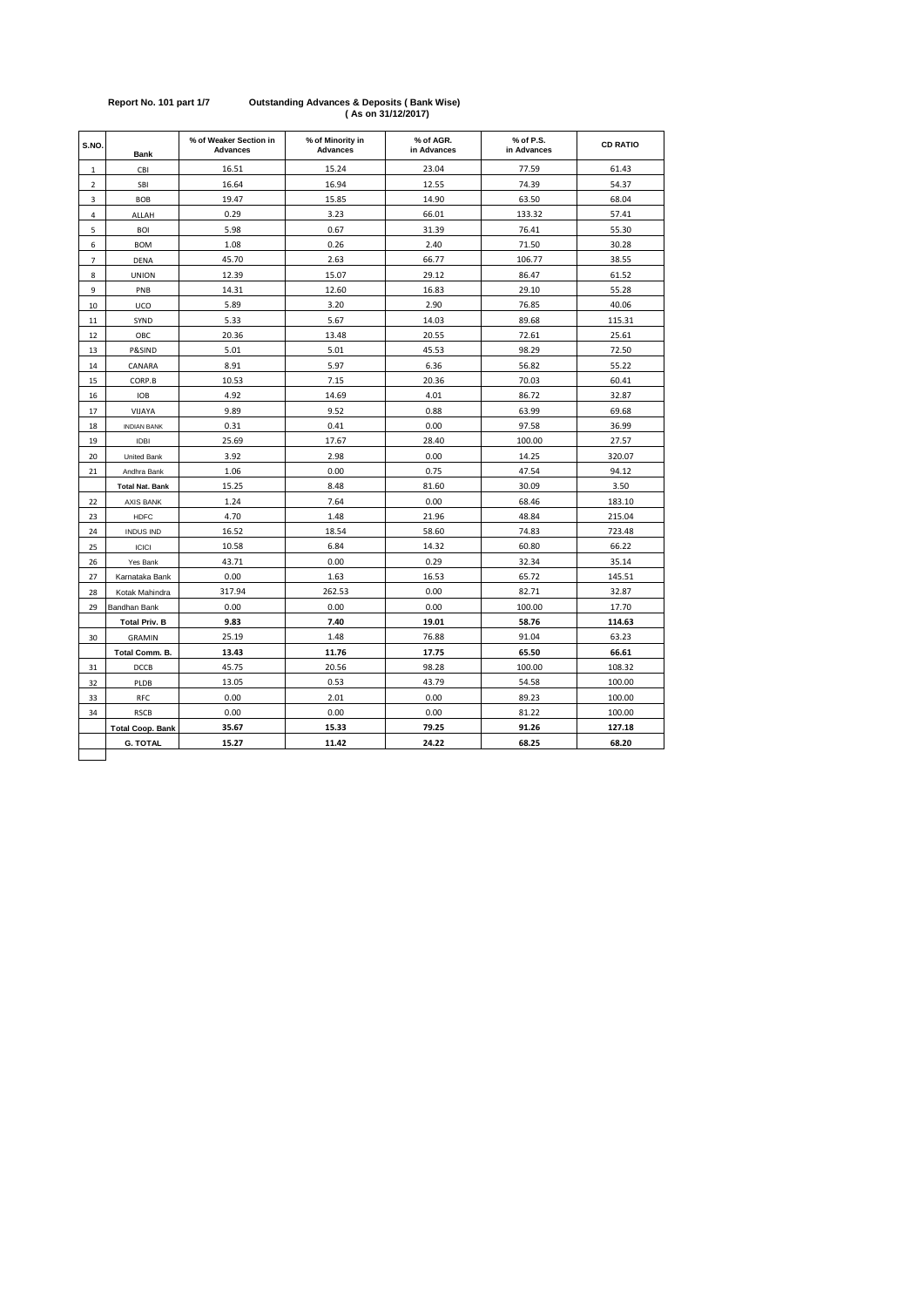| S.NO.          | <b>Bank</b>             | % of Weaker Section in<br><b>Advances</b> | % of Minority in<br><b>Advances</b> | % of AGR.<br>in Advances | % of P.S.<br>in Advances | <b>CD RATIO</b> |
|----------------|-------------------------|-------------------------------------------|-------------------------------------|--------------------------|--------------------------|-----------------|
| $\,1$          | CBI                     | 16.51                                     | 15.24                               | 23.04                    | 77.59                    | 61.43           |
| $\overline{2}$ | SBI                     | 16.64                                     | 16.94                               | 12.55                    | 74.39                    | 54.37           |
| 3              | <b>BOB</b>              | 19.47                                     | 15.85                               | 14.90                    | 63.50                    | 68.04           |
| 4              | ALLAH                   | 0.29                                      | 3.23                                | 66.01                    | 133.32                   | 57.41           |
| 5              | <b>BOI</b>              | 5.98                                      | 0.67                                | 31.39                    | 76.41                    | 55.30           |
| 6              | <b>BOM</b>              | 1.08                                      | 0.26                                | 2.40                     | 71.50                    | 30.28           |
| $\overline{7}$ | <b>DENA</b>             | 45.70                                     | 2.63                                | 66.77                    | 106.77                   | 38.55           |
| 8              | <b>UNION</b>            | 12.39                                     | 15.07                               | 29.12                    | 86.47                    | 61.52           |
| 9              | PNB                     | 14.31                                     | 12.60                               | 16.83                    | 29.10                    | 55.28           |
| 10             | UCO                     | 5.89                                      | 3.20                                | 2.90                     | 76.85                    | 40.06           |
| 11             | SYND                    | 5.33                                      | 5.67                                | 14.03                    | 89.68                    | 115.31          |
| 12             | OBC                     | 20.36                                     | 13.48                               | 20.55                    | 72.61                    | 25.61           |
| 13             | P&SIND                  | 5.01                                      | 5.01                                | 45.53                    | 98.29                    | 72.50           |
| 14             | CANARA                  | 8.91                                      | 5.97                                | 6.36                     | 56.82                    | 55.22           |
| 15             | CORP.B                  | 10.53                                     | 7.15                                | 20.36                    | 70.03                    | 60.41           |
| 16             | <b>IOB</b>              | 4.92                                      | 14.69                               | 4.01                     | 86.72                    | 32.87           |
| 17             | VIJAYA                  | 9.89                                      | 9.52                                | 0.88                     | 63.99                    | 69.68           |
| 18             | <b>INDIAN BANK</b>      | 0.31                                      | 0.41                                | 0.00                     | 97.58                    | 36.99           |
| 19             | <b>IDBI</b>             | 25.69                                     | 17.67                               | 28.40                    | 100.00                   | 27.57           |
| 20             | <b>United Bank</b>      | 3.92                                      | 2.98                                | 0.00                     | 14.25                    | 320.07          |
| 21             | Andhra Bank             | 1.06                                      | 0.00                                | 0.75                     | 47.54                    | 94.12           |
|                | <b>Total Nat. Bank</b>  | 15.25                                     | 8.48                                | 81.60                    | 30.09                    | 3.50            |
| 22             | <b>AXIS BANK</b>        | 1.24                                      | 7.64                                | 0.00                     | 68.46                    | 183.10          |
| 23             | <b>HDFC</b>             | 4.70                                      | 1.48                                | 21.96                    | 48.84                    | 215.04          |
| 24             | <b>INDUS IND</b>        | 16.52                                     | 18.54                               | 58.60                    | 74.83                    | 723.48          |
| 25             | <b>ICICI</b>            | 10.58                                     | 6.84                                | 14.32                    | 60.80                    | 66.22           |
| 26             | Yes Bank                | 43.71                                     | 0.00                                | 0.29                     | 32.34                    | 35.14           |
| 27             | Karnataka Bank          | 0.00                                      | 1.63                                | 16.53                    | 65.72                    | 145.51          |
| 28             | Kotak Mahindra          | 317.94                                    | 262.53                              | 0.00                     | 82.71                    | 32.87           |
| 29             | Bandhan Bank            | 0.00                                      | 0.00                                | 0.00                     | 100.00                   | 17.70           |
|                | <b>Total Priv. B</b>    | 9.83                                      | 7.40                                | 19.01                    | 58.76                    | 114.63          |
| 30             | <b>GRAMIN</b>           | 25.19                                     | 1.48                                | 76.88                    | 91.04                    | 63.23           |
|                | Total Comm. B.          | 13.43                                     | 11.76                               | 17.75                    | 65.50                    | 66.61           |
| 31             | DCCB                    | 45.75                                     | 20.56                               | 98.28                    | 100.00                   | 108.32          |
| 32             | PLDB                    | 13.05                                     | 0.53                                | 43.79                    | 54.58                    | 100.00          |
| 33             | RFC                     | 0.00                                      | 2.01                                | 0.00                     | 89.23                    | 100.00          |
| 34             | <b>RSCB</b>             | 0.00                                      | 0.00                                | 0.00                     | 81.22                    | 100.00          |
|                | <b>Total Coop. Bank</b> | 35.67                                     | 15.33                               | 79.25                    | 91.26                    | 127.18          |
|                | <b>G. TOTAL</b>         | 15.27                                     | 11.42                               | 24.22                    | 68.25                    | 68.20           |

#### **Report No. 101 part 1/7 Outstanding Advances & Deposits ( Bank Wise) ( As on 31/12/2017)**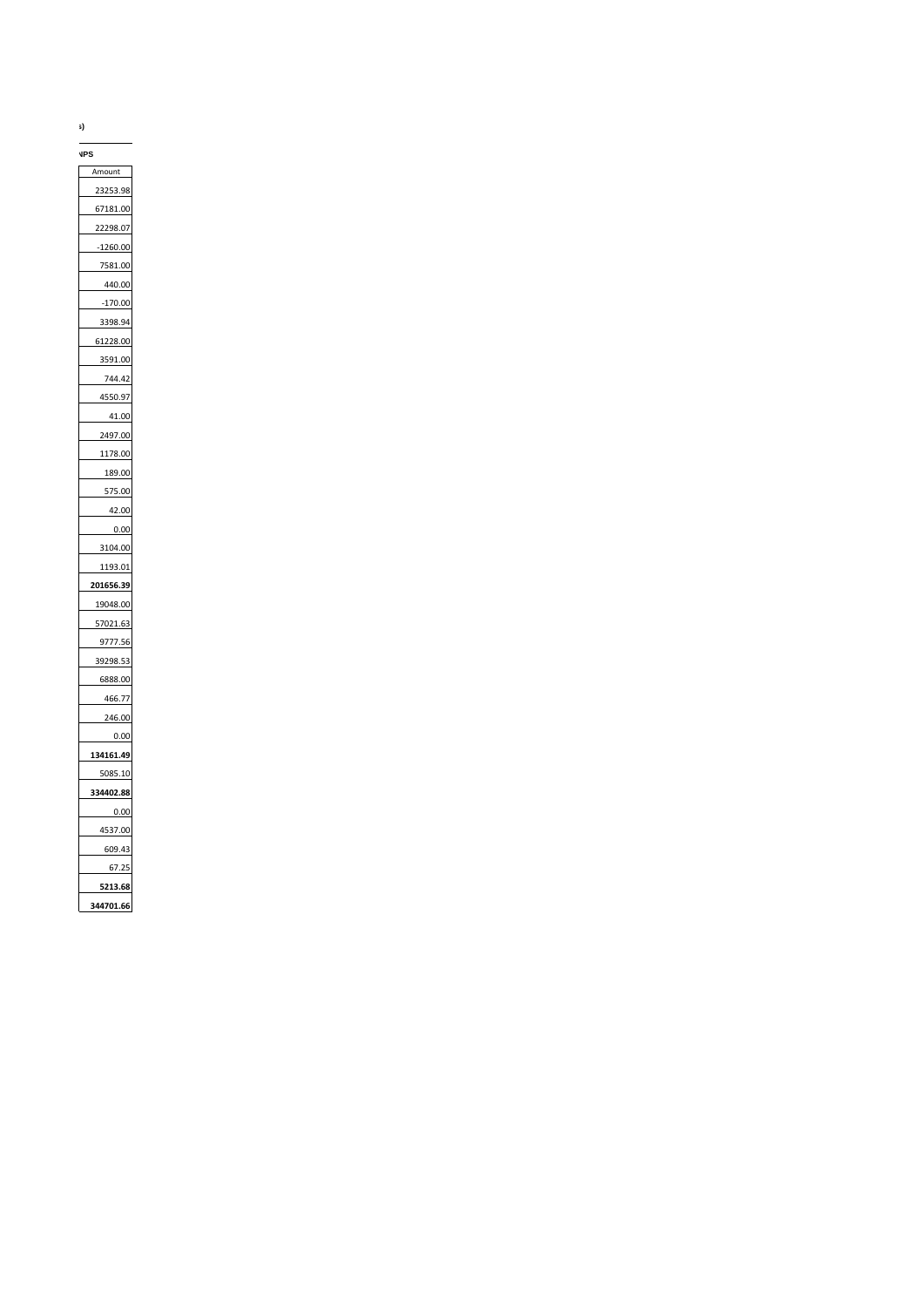**(Rs In Lacs)**

Amount 23253.98 67181.00 22298.07 -1260.00 7581.00 440.00 -170.00 3398.94 61228.00 3591.00 744.42 4550.97 41.00 2497.00 1178.00 189.00 575.00 42.00 0.00 3104.00 1193.01 **201656.39** 19048.00 57021.63 9777.56 39298.53 6888.00 466.77 246.00 0.00 **134161.49** 5085.10 **334402.88** 0.00 4537.00 609.43 67.25 **5213.68 344701.66 NPS**